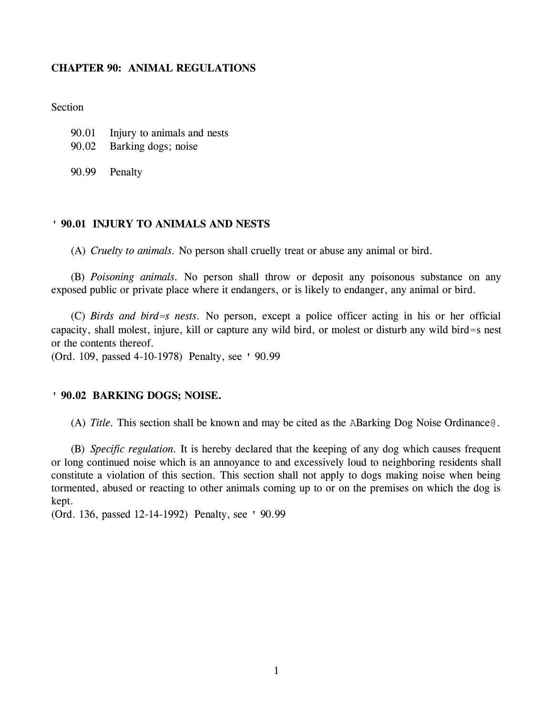## **CHAPTER 90: ANIMAL REGULATIONS**

Section

- 90.01 Injury to animals and nests
- 90.02 Barking dogs; noise
- 90.99 Penalty

## **' 90.01 INJURY TO ANIMALS AND NESTS**

(A) *Cruelty to animals.* No person shall cruelly treat or abuse any animal or bird.

(B) *Poisoning animals.* No person shall throw or deposit any poisonous substance on any exposed public or private place where it endangers, or is likely to endanger, any animal or bird.

(C) *Birds and bird=s nests.* No person, except a police officer acting in his or her official capacity, shall molest, injure, kill or capture any wild bird, or molest or disturb any wild bird=s nest or the contents thereof.

(Ord. 109, passed 4-10-1978) Penalty, see ' 90.99

## **' 90.02 BARKING DOGS; NOISE.**

(A) *Title.* This section shall be known and may be cited as the ABarking Dog Noise Ordinance@.

(B) *Specific regulation.* It is hereby declared that the keeping of any dog which causes frequent or long continued noise which is an annoyance to and excessively loud to neighboring residents shall constitute a violation of this section. This section shall not apply to dogs making noise when being tormented, abused or reacting to other animals coming up to or on the premises on which the dog is kept.

(Ord. 136, passed 12-14-1992) Penalty, see ' 90.99